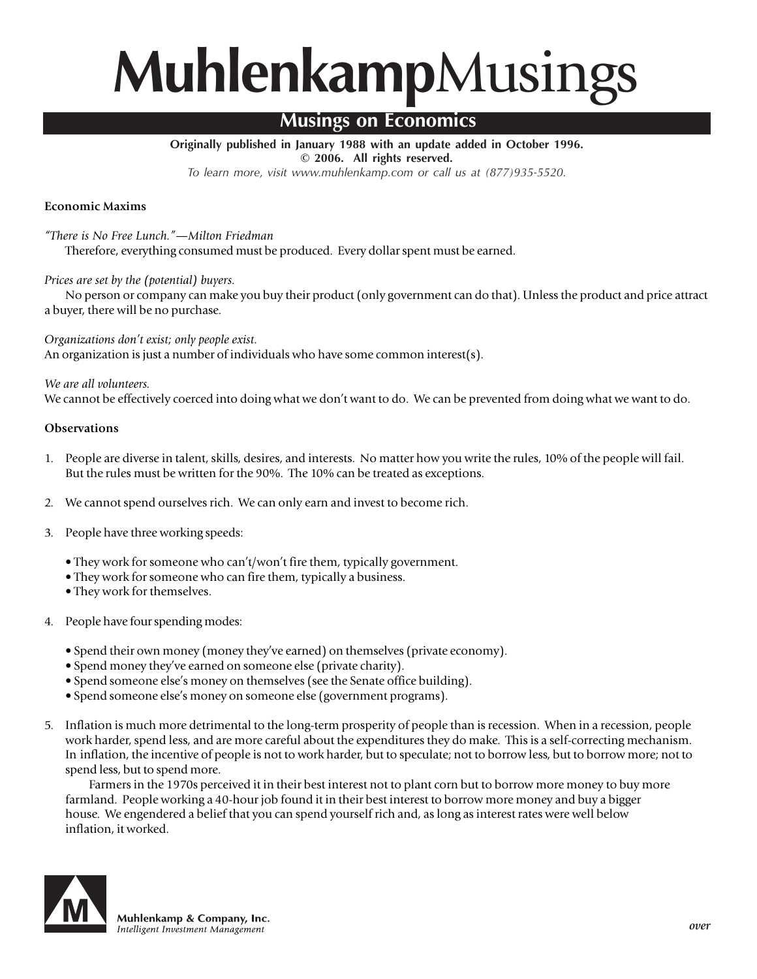# **Muhlenkamp**Musings

# **Musings on Economics**

**Originally published in January 1988 with an update added in October 1996. © 2006. All rights reserved.**

*To learn more, visit www.muhlenkamp.com or call us at (877)935-5520.*

# **Economic Maxims**

*"There is No Free Lunch."—Milton Friedman*

Therefore, everything consumed must be produced. Every dollar spent must be earned.

## *Prices are set by the (potential) buyers.*

No person or company can make you buy their product (only government can do that). Unless the product and price attract a buyer, there will be no purchase.

*Organizations don't exist; only people exist.* An organization is just a number of individuals who have some common interest(s).

*We are all volunteers.*

We cannot be effectively coerced into doing what we don't want to do. We can be prevented from doing what we want to do.

### **Observations**

- 1. People are diverse in talent, skills, desires, and interests. No matter how you write the rules, 10% of the people will fail. But the rules must be written for the 90%. The 10% can be treated as exceptions.
- 2. We cannot spend ourselves rich. We can only earn and invest to become rich.
- 3. People have three working speeds:
	- They work for someone who can't/won't fire them, typically government.
	- They work for someone who can fire them, typically a business.
	- They work for themselves.
- 4. People have four spending modes:
	- Spend their own money (money they've earned) on themselves (private economy).
	- Spend money they've earned on someone else (private charity).
	- Spend someone else's money on themselves (see the Senate office building).
	- Spend someone else's money on someone else (government programs).
- 5. Inflation is much more detrimental to the long-term prosperity of people than is recession. When in a recession, people work harder, spend less, and are more careful about the expenditures they do make. This is a self-correcting mechanism. In inflation, the incentive of people is not to work harder, but to speculate; not to borrow less, but to borrow more; not to spend less, but to spend more.

Farmers in the 1970s perceived it in their best interest not to plant corn but to borrow more money to buy more farmland. People working a 40-hour job found it in their best interest to borrow more money and buy a bigger house. We engendered a belief that you can spend yourself rich and, as long as interest rates were well below inflation, it worked.